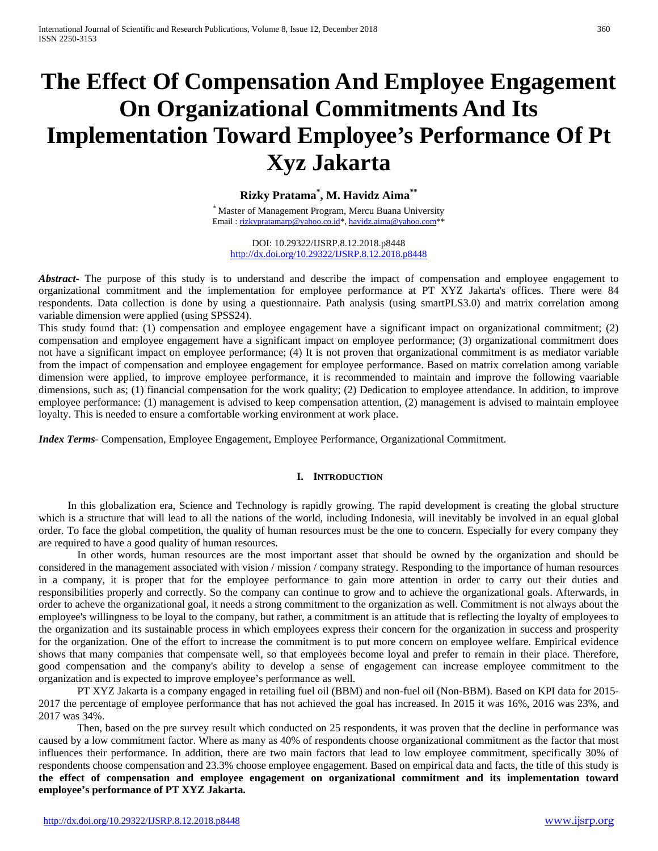# **The Effect Of Compensation And Employee Engagement On Organizational Commitments And Its Implementation Toward Employee's Performance Of Pt Xyz Jakarta**

**Rizky Pratama\* , M. Havidz Aima\*\***

Master of Management Program, Mercu Buana University Email[: rizkypratamarp@yahoo.co.id\\*](mailto:rizkypratamarp@yahoo.co.id)[, havidz.aima@yahoo.com\\*](mailto:havidz.aima@yahoo.com)

DOI: 10.29322/IJSRP.8.12.2018.p8448 <http://dx.doi.org/10.29322/IJSRP.8.12.2018.p8448>

*Abstract* The purpose of this study is to understand and describe the impact of compensation and employee engagement to organizational commitment and the implementation for employee performance at PT XYZ Jakarta's offices. There were 84 respondents. Data collection is done by using a questionnaire. Path analysis (using smartPLS3.0) and matrix correlation among variable dimension were applied (using SPSS24).

This study found that: (1) compensation and employee engagement have a significant impact on organizational commitment; (2) compensation and employee engagement have a significant impact on employee performance; (3) organizational commitment does not have a significant impact on employee performance; (4) It is not proven that organizational commitment is as mediator variable from the impact of compensation and employee engagement for employee performance. Based on matrix correlation among variable dimension were applied, to improve employee performance, it is recommended to maintain and improve the following vaariable dimensions, such as; (1) financial compensation for the work quality; (2) Dedication to employee attendance. In addition, to improve employee performance: (1) management is advised to keep compensation attention, (2) management is advised to maintain employee loyalty. This is needed to ensure a comfortable working environment at work place.

*Index Terms*- Compensation, Employee Engagement, Employee Performance, Organizational Commitment.

### **I. INTRODUCTION**

In this globalization era, Science and Technology is rapidly growing. The rapid development is creating the global structure which is a structure that will lead to all the nations of the world, including Indonesia, will inevitably be involved in an equal global order. To face the global competition, the quality of human resources must be the one to concern. Especially for every company they are required to have a good quality of human resources.

In other words, human resources are the most important asset that should be owned by the organization and should be considered in the management associated with vision / mission / company strategy. Responding to the importance of human resources in a company, it is proper that for the employee performance to gain more attention in order to carry out their duties and responsibilities properly and correctly. So the company can continue to grow and to achieve the organizational goals. Afterwards, in order to acheve the organizational goal, it needs a strong commitment to the organization as well. Commitment is not always about the employee's willingness to be loyal to the company, but rather, a commitment is an attitude that is reflecting the loyalty of employees to the organization and its sustainable process in which employees express their concern for the organization in success and prosperity for the organization. One of the effort to increase the commitment is to put more concern on employee welfare. Empirical evidence shows that many companies that compensate well, so that employees become loyal and prefer to remain in their place. Therefore, good compensation and the company's ability to develop a sense of engagement can increase employee commitment to the organization and is expected to improve employee's performance as well.

PT XYZ Jakarta is a company engaged in retailing fuel oil (BBM) and non-fuel oil (Non-BBM). Based on KPI data for 2015- 2017 the percentage of employee performance that has not achieved the goal has increased. In 2015 it was 16%, 2016 was 23%, and 2017 was 34%.

Then, based on the pre survey result which conducted on 25 respondents, it was proven that the decline in performance was caused by a low commitment factor. Where as many as 40% of respondents choose organizational commitment as the factor that most influences their performance. In addition, there are two main factors that lead to low employee commitment, specifically 30% of respondents choose compensation and 23.3% choose employee engagement. Based on empirical data and facts, the title of this study is **the effect of compensation and employee engagement on organizational commitment and its implementation toward employee's performance of PT XYZ Jakarta.**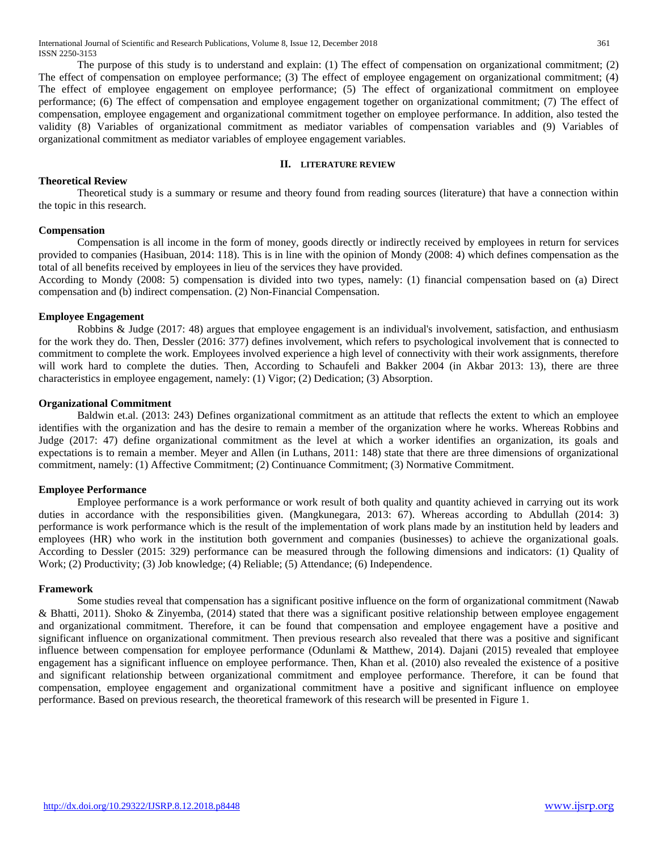The purpose of this study is to understand and explain: (1) The effect of compensation on organizational commitment; (2) The effect of compensation on employee performance; (3) The effect of employee engagement on organizational commitment; (4) The effect of employee engagement on employee performance; (5) The effect of organizational commitment on employee performance; (6) The effect of compensation and employee engagement together on organizational commitment; (7) The effect of compensation, employee engagement and organizational commitment together on employee performance. In addition, also tested the validity (8) Variables of organizational commitment as mediator variables of compensation variables and (9) Variables of organizational commitment as mediator variables of employee engagement variables.

### **II. LITERATURE REVIEW**

### **Theoretical Review**

Theoretical study is a summary or resume and theory found from reading sources (literature) that have a connection within the topic in this research.

### **Compensation**

Compensation is all income in the form of money, goods directly or indirectly received by employees in return for services provided to companies (Hasibuan, 2014: 118). This is in line with the opinion of Mondy (2008: 4) which defines compensation as the total of all benefits received by employees in lieu of the services they have provided.

According to Mondy (2008: 5) compensation is divided into two types, namely: (1) financial compensation based on (a) Direct compensation and (b) indirect compensation. (2) Non-Financial Compensation.

### **Employee Engagement**

Robbins & Judge (2017: 48) argues that employee engagement is an individual's involvement, satisfaction, and enthusiasm for the work they do. Then, Dessler (2016: 377) defines involvement, which refers to psychological involvement that is connected to commitment to complete the work. Employees involved experience a high level of connectivity with their work assignments, therefore will work hard to complete the duties. Then, According to Schaufeli and Bakker 2004 (in Akbar 2013: 13), there are three characteristics in employee engagement, namely: (1) Vigor; (2) Dedication; (3) Absorption.

### **Organizational Commitment**

Baldwin et.al. (2013: 243) Defines organizational commitment as an attitude that reflects the extent to which an employee identifies with the organization and has the desire to remain a member of the organization where he works. Whereas Robbins and Judge (2017: 47) define organizational commitment as the level at which a worker identifies an organization, its goals and expectations is to remain a member. Meyer and Allen (in Luthans, 2011: 148) state that there are three dimensions of organizational commitment, namely: (1) Affective Commitment; (2) Continuance Commitment; (3) Normative Commitment.

### **Employee Performance**

Employee performance is a work performance or work result of both quality and quantity achieved in carrying out its work duties in accordance with the responsibilities given. (Mangkunegara, 2013: 67). Whereas according to Abdullah (2014: 3) performance is work performance which is the result of the implementation of work plans made by an institution held by leaders and employees (HR) who work in the institution both government and companies (businesses) to achieve the organizational goals. According to Dessler (2015: 329) performance can be measured through the following dimensions and indicators: (1) Quality of Work; (2) Productivity; (3) Job knowledge; (4) Reliable; (5) Attendance; (6) Independence.

### **Framework**

Some studies reveal that compensation has a significant positive influence on the form of organizational commitment (Nawab & Bhatti, 2011). Shoko & Zinyemba, (2014) stated that there was a significant positive relationship between employee engagement and organizational commitment. Therefore, it can be found that compensation and employee engagement have a positive and significant influence on organizational commitment. Then previous research also revealed that there was a positive and significant influence between compensation for employee performance (Odunlami & Matthew, 2014). Dajani (2015) revealed that employee engagement has a significant influence on employee performance. Then, Khan et al. (2010) also revealed the existence of a positive and significant relationship between organizational commitment and employee performance. Therefore, it can be found that compensation, employee engagement and organizational commitment have a positive and significant influence on employee performance. Based on previous research, the theoretical framework of this research will be presented in Figure 1.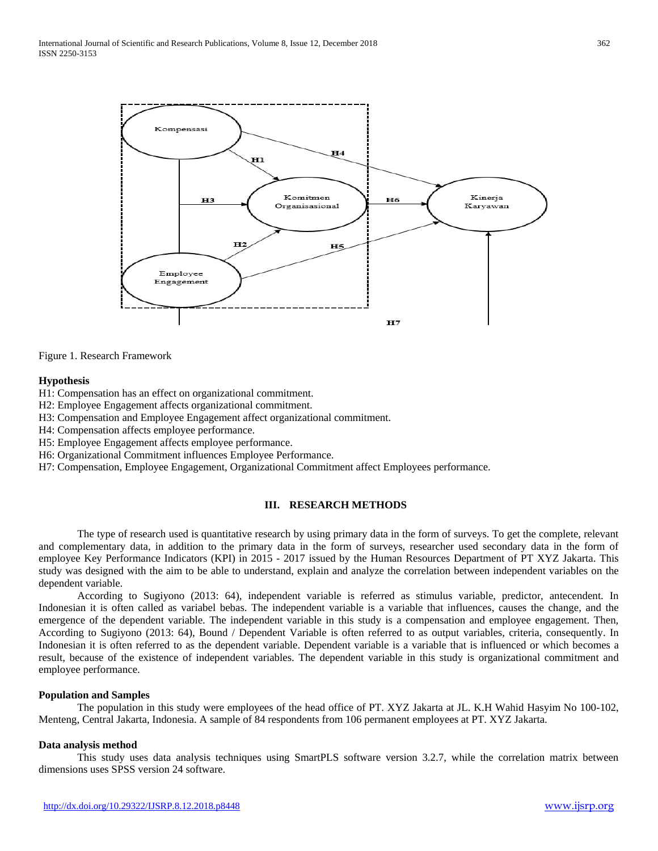



### **Hypothesis**

- H1: Compensation has an effect on organizational commitment.
- H2: Employee Engagement affects organizational commitment.
- H3: Compensation and Employee Engagement affect organizational commitment.
- H4: Compensation affects employee performance.
- H5: Employee Engagement affects employee performance.
- H6: Organizational Commitment influences Employee Performance.
- H7: Compensation, Employee Engagement, Organizational Commitment affect Employees performance.

### **III. RESEARCH METHODS**

The type of research used is quantitative research by using primary data in the form of surveys. To get the complete, relevant and complementary data, in addition to the primary data in the form of surveys, researcher used secondary data in the form of employee Key Performance Indicators (KPI) in 2015 - 2017 issued by the Human Resources Department of PT XYZ Jakarta. This study was designed with the aim to be able to understand, explain and analyze the correlation between independent variables on the dependent variable.

According to Sugiyono (2013: 64), independent variable is referred as stimulus variable, predictor, antecendent. In Indonesian it is often called as variabel bebas. The independent variable is a variable that influences, causes the change, and the emergence of the dependent variable. The independent variable in this study is a compensation and employee engagement. Then, According to Sugiyono (2013: 64), Bound / Dependent Variable is often referred to as output variables, criteria, consequently. In Indonesian it is often referred to as the dependent variable. Dependent variable is a variable that is influenced or which becomes a result, because of the existence of independent variables. The dependent variable in this study is organizational commitment and employee performance.

### **Population and Samples**

The population in this study were employees of the head office of PT. XYZ Jakarta at JL. K.H Wahid Hasyim No 100-102, Menteng, Central Jakarta, Indonesia. A sample of 84 respondents from 106 permanent employees at PT. XYZ Jakarta.

### **Data analysis method**

This study uses data analysis techniques using SmartPLS software version 3.2.7, while the correlation matrix between dimensions uses SPSS version 24 software.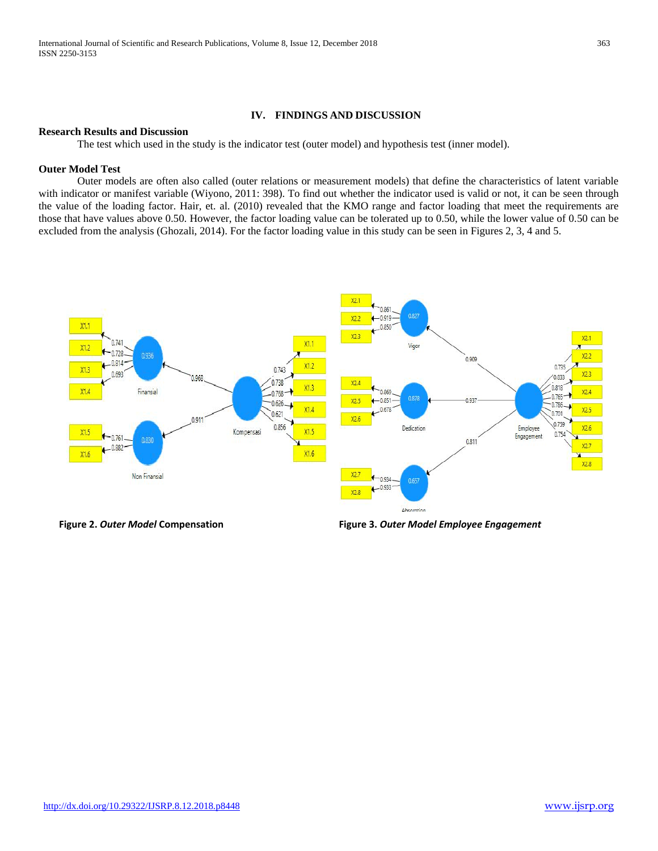# **IV. FINDINGS AND DISCUSSION**

### **Research Results and Discussion**

The test which used in the study is the indicator test (outer model) and hypothesis test (inner model).

## **Outer Model Test**

Outer models are often also called (outer relations or measurement models) that define the characteristics of latent variable with indicator or manifest variable (Wiyono, 2011: 398). To find out whether the indicator used is valid or not, it can be seen through the value of the loading factor. Hair, et. al. (2010) revealed that the KMO range and factor loading that meet the requirements are those that have values above 0.50. However, the factor loading value can be tolerated up to 0.50, while the lower value of 0.50 can be excluded from the analysis (Ghozali, 2014). For the factor loading value in this study can be seen in Figures 2, 3, 4 and 5.



**Figure 2.** *Outer Model* **Compensation Figure 3.** *Outer Model Employee Engagement*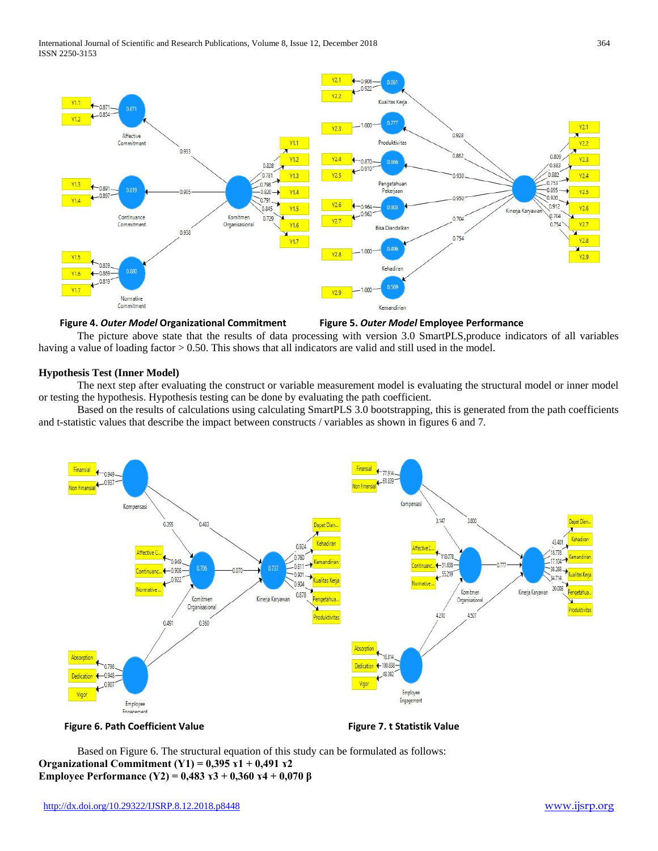

### **Figure 4.** *Outer Model* **Organizational Commitment Figure 5.** *Outer Model* **Employee Performance**

The picture above state that the results of data processing with version 3.0 SmartPLS,produce indicators of all variables having a value of loading factor > 0.50. This shows that all indicators are valid and still used in the model.

### **Hypothesis Test (Inner Model)**

The next step after evaluating the construct or variable measurement model is evaluating the structural model or inner model or testing the hypothesis. Hypothesis testing can be done by evaluating the path coefficient.

Based on the results of calculations using calculating SmartPLS 3.0 bootstrapping, this is generated from the path coefficients and t-statistic values that describe the impact between constructs / variables as shown in figures 6 and 7.



**Figure 6. Path Coefficient Value Figure 7. t Statistik Value**

Based on Figure 6. The structural equation of this study can be formulated as follows: **Organizational Commitment (Y1) = 0,395 ɤ1 + 0,491 ɤ2 Employee Performance (Y2) = 0,483 ɤ3 + 0,360 ɤ4 + 0,070 β**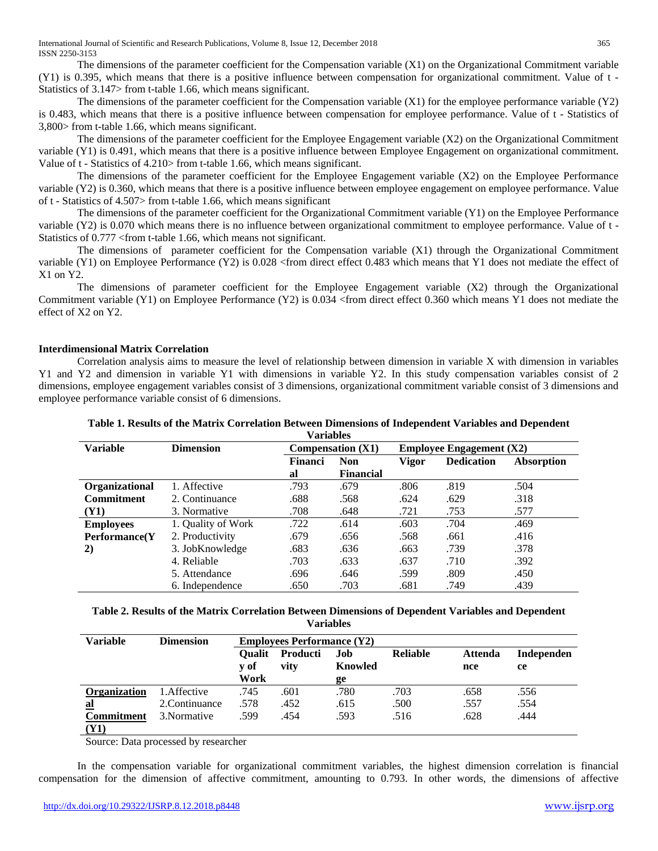The dimensions of the parameter coefficient for the Compensation variable  $(X1)$  on the Organizational Commitment variable (Y1) is 0.395, which means that there is a positive influence between compensation for organizational commitment. Value of t - Statistics of 3.147> from t-table 1.66, which means significant.

The dimensions of the parameter coefficient for the Compensation variable  $(X1)$  for the employee performance variable  $(Y2)$ is 0.483, which means that there is a positive influence between compensation for employee performance. Value of t - Statistics of 3,800> from t-table 1.66, which means significant.

The dimensions of the parameter coefficient for the Employee Engagement variable (X2) on the Organizational Commitment variable (Y1) is 0.491, which means that there is a positive influence between Employee Engagement on organizational commitment. Value of t - Statistics of 4.210> from t-table 1.66, which means significant.

The dimensions of the parameter coefficient for the Employee Engagement variable (X2) on the Employee Performance variable (Y2) is 0.360, which means that there is a positive influence between employee engagement on employee performance. Value of t - Statistics of 4.507> from t-table 1.66, which means significant

The dimensions of the parameter coefficient for the Organizational Commitment variable (Y1) on the Employee Performance variable (Y2) is 0.070 which means there is no influence between organizational commitment to employee performance. Value of t - Statistics of 0.777 <from t-table 1.66, which means not significant.

The dimensions of parameter coefficient for the Compensation variable (X1) through the Organizational Commitment variable (Y1) on Employee Performance (Y2) is 0.028 <from direct effect 0.483 which means that Y1 does not mediate the effect of X1 on Y2.

The dimensions of parameter coefficient for the Employee Engagement variable (X2) through the Organizational Commitment variable (Y1) on Employee Performance (Y2) is 0.034 <from direct effect 0.360 which means Y1 does not mediate the effect of X2 on Y2.

## **Interdimensional Matrix Correlation**

Correlation analysis aims to measure the level of relationship between dimension in variable X with dimension in variables Y1 and Y2 and dimension in variable Y1 with dimensions in variable Y2. In this study compensation variables consist of 2 dimensions, employee engagement variables consist of 3 dimensions, organizational commitment variable consist of 3 dimensions and employee performance variable consist of 6 dimensions.

| Variables         |                    |                     |                  |                                              |                   |                   |  |  |  |  |
|-------------------|--------------------|---------------------|------------------|----------------------------------------------|-------------------|-------------------|--|--|--|--|
| <b>Variable</b>   | <b>Dimension</b>   | Compensation $(X1)$ |                  | <b>Employee Engagement <math>(X2)</math></b> |                   |                   |  |  |  |  |
|                   |                    | <b>Financi</b>      | <b>Non</b>       | <b>Vigor</b>                                 | <b>Dedication</b> | <b>Absorption</b> |  |  |  |  |
|                   |                    | al                  | <b>Financial</b> |                                              |                   |                   |  |  |  |  |
| Organizational    | 1. Affective       | .793                | .679             | .806                                         | .819              | .504              |  |  |  |  |
| <b>Commitment</b> | 2. Continuance     | .688                | .568             | .624                                         | .629              | .318              |  |  |  |  |
| <b>(Y1)</b>       | 3. Normative       | .708                | .648             | .721                                         | .753              | .577              |  |  |  |  |
| <b>Employees</b>  | 1. Quality of Work | .722                | .614             | .603                                         | .704              | .469              |  |  |  |  |
| Performance(Y)    | 2. Productivity    | .679                | .656             | .568                                         | .661              | .416              |  |  |  |  |
| 2)                | 3. JobKnowledge    | .683                | .636             | .663                                         | .739              | .378              |  |  |  |  |
|                   | 4. Reliable        | .703                | .633             | .637                                         | .710              | .392              |  |  |  |  |
|                   | 5. Attendance      | .696                | .646             | .599                                         | .809              | .450              |  |  |  |  |
|                   | 6. Independence    | .650                | .703             | .681                                         | .749              | .439              |  |  |  |  |

**Table 1. Results of the Matrix Correlation Between Dimensions of Independent Variables and Dependent** 

| Table 2. Results of the Matrix Correlation Between Dimensions of Dependent Variables and Dependent |
|----------------------------------------------------------------------------------------------------|
| <b>Variables</b>                                                                                   |

| <b>Variable</b>   | <b>Dimension</b> | <b>Employees Performance (Y2)</b> |                  |                |                 |                       |                  |  |  |
|-------------------|------------------|-----------------------------------|------------------|----------------|-----------------|-----------------------|------------------|--|--|
|                   |                  | <b>Oualit</b><br>v of             | Producti<br>vity | Job<br>Knowled | <b>Reliable</b> | <b>Attenda</b><br>nce | Independen<br>ce |  |  |
|                   |                  | Work                              |                  | ge             |                 |                       |                  |  |  |
| Organization      | 1. Affective     | .745                              | .601             | .780           | .703            | .658                  | .556             |  |  |
| <u>al</u>         | 2. Continuance   | .578                              | .452             | .615           | .500            | .557                  | .554             |  |  |
| <b>Commitment</b> | 3. Normative     | .599                              | .454             | .593           | .516            | .628                  | .444             |  |  |
| (Y1)              |                  |                                   |                  |                |                 |                       |                  |  |  |

Source: Data processed by researcher

In the compensation variable for organizational commitment variables, the highest dimension correlation is financial compensation for the dimension of affective commitment, amounting to 0.793. In other words, the dimensions of affective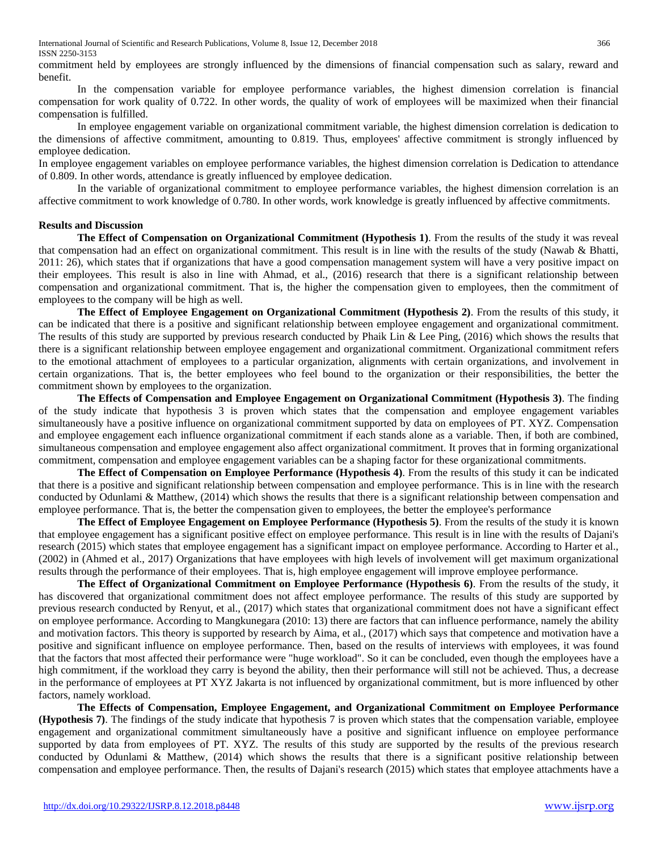International Journal of Scientific and Research Publications, Volume 8, Issue 12, December 2018 366 ISSN 2250-3153

commitment held by employees are strongly influenced by the dimensions of financial compensation such as salary, reward and benefit.

In the compensation variable for employee performance variables, the highest dimension correlation is financial compensation for work quality of 0.722. In other words, the quality of work of employees will be maximized when their financial compensation is fulfilled.

In employee engagement variable on organizational commitment variable, the highest dimension correlation is dedication to the dimensions of affective commitment, amounting to 0.819. Thus, employees' affective commitment is strongly influenced by employee dedication.

In employee engagement variables on employee performance variables, the highest dimension correlation is Dedication to attendance of 0.809. In other words, attendance is greatly influenced by employee dedication.

In the variable of organizational commitment to employee performance variables, the highest dimension correlation is an affective commitment to work knowledge of 0.780. In other words, work knowledge is greatly influenced by affective commitments.

### **Results and Discussion**

**The Effect of Compensation on Organizational Commitment (Hypothesis 1)**. From the results of the study it was reveal that compensation had an effect on organizational commitment. This result is in line with the results of the study (Nawab & Bhatti, 2011: 26), which states that if organizations that have a good compensation management system will have a very positive impact on their employees. This result is also in line with Ahmad, et al., (2016) research that there is a significant relationship between compensation and organizational commitment. That is, the higher the compensation given to employees, then the commitment of employees to the company will be high as well.

**The Effect of Employee Engagement on Organizational Commitment (Hypothesis 2)**. From the results of this study, it can be indicated that there is a positive and significant relationship between employee engagement and organizational commitment. The results of this study are supported by previous research conducted by Phaik Lin & Lee Ping, (2016) which shows the results that there is a significant relationship between employee engagement and organizational commitment. Organizational commitment refers to the emotional attachment of employees to a particular organization, alignments with certain organizations, and involvement in certain organizations. That is, the better employees who feel bound to the organization or their responsibilities, the better the commitment shown by employees to the organization.

**The Effects of Compensation and Employee Engagement on Organizational Commitment (Hypothesis 3)**. The finding of the study indicate that hypothesis 3 is proven which states that the compensation and employee engagement variables simultaneously have a positive influence on organizational commitment supported by data on employees of PT. XYZ. Compensation and employee engagement each influence organizational commitment if each stands alone as a variable. Then, if both are combined, simultaneous compensation and employee engagement also affect organizational commitment. It proves that in forming organizational commitment, compensation and employee engagement variables can be a shaping factor for these organizational commitments.

**The Effect of Compensation on Employee Performance (Hypothesis 4)**. From the results of this study it can be indicated that there is a positive and significant relationship between compensation and employee performance. This is in line with the research conducted by Odunlami & Matthew, (2014) which shows the results that there is a significant relationship between compensation and employee performance. That is, the better the compensation given to employees, the better the employee's performance

**The Effect of Employee Engagement on Employee Performance (Hypothesis 5)**. From the results of the study it is known that employee engagement has a significant positive effect on employee performance. This result is in line with the results of Dajani's research (2015) which states that employee engagement has a significant impact on employee performance. According to Harter et al., (2002) in (Ahmed et al., 2017) Organizations that have employees with high levels of involvement will get maximum organizational results through the performance of their employees. That is, high employee engagement will improve employee performance.

**The Effect of Organizational Commitment on Employee Performance (Hypothesis 6)**. From the results of the study, it has discovered that organizational commitment does not affect employee performance. The results of this study are supported by previous research conducted by Renyut, et al., (2017) which states that organizational commitment does not have a significant effect on employee performance. According to Mangkunegara (2010: 13) there are factors that can influence performance, namely the ability and motivation factors. This theory is supported by research by Aima, et al., (2017) which says that competence and motivation have a positive and significant influence on employee performance. Then, based on the results of interviews with employees, it was found that the factors that most affected their performance were "huge workload". So it can be concluded, even though the employees have a high commitment, if the workload they carry is beyond the ability, then their performance will still not be achieved. Thus, a decrease in the performance of employees at PT XYZ Jakarta is not influenced by organizational commitment, but is more influenced by other factors, namely workload.

**The Effects of Compensation, Employee Engagement, and Organizational Commitment on Employee Performance (Hypothesis 7)**. The findings of the study indicate that hypothesis 7 is proven which states that the compensation variable, employee engagement and organizational commitment simultaneously have a positive and significant influence on employee performance supported by data from employees of PT. XYZ. The results of this study are supported by the results of the previous research conducted by Odunlami & Matthew, (2014) which shows the results that there is a significant positive relationship between compensation and employee performance. Then, the results of Dajani's research (2015) which states that employee attachments have a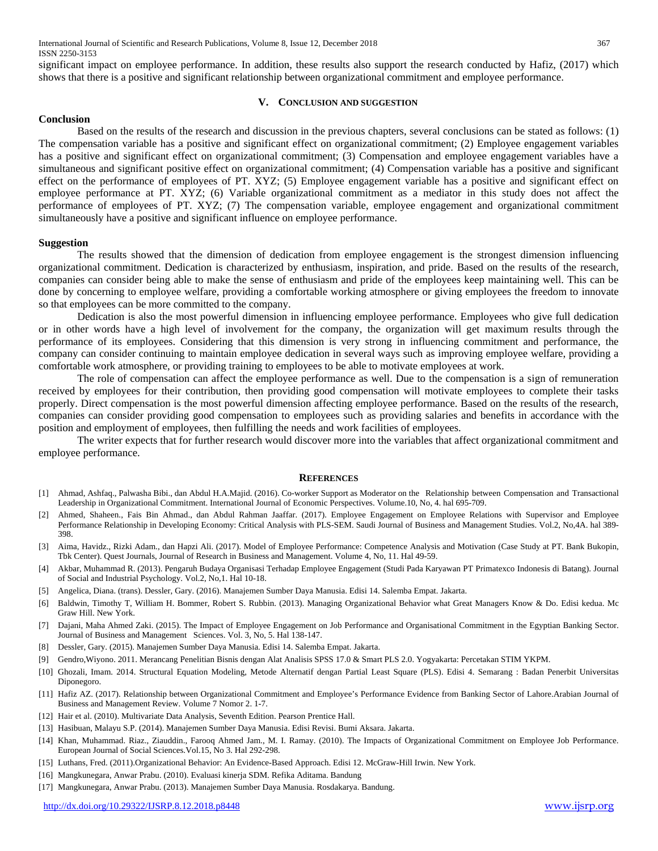significant impact on employee performance. In addition, these results also support the research conducted by Hafiz, (2017) which shows that there is a positive and significant relationship between organizational commitment and employee performance.

### **V. CONCLUSION AND SUGGESTION**

### **Conclusion**

Based on the results of the research and discussion in the previous chapters, several conclusions can be stated as follows: (1) The compensation variable has a positive and significant effect on organizational commitment; (2) Employee engagement variables has a positive and significant effect on organizational commitment; (3) Compensation and employee engagement variables have a simultaneous and significant positive effect on organizational commitment; (4) Compensation variable has a positive and significant effect on the performance of employees of PT. XYZ; (5) Employee engagement variable has a positive and significant effect on employee performance at PT. XYZ; (6) Variable organizational commitment as a mediator in this study does not affect the performance of employees of PT. XYZ; (7) The compensation variable, employee engagement and organizational commitment simultaneously have a positive and significant influence on employee performance.

### **Suggestion**

The results showed that the dimension of dedication from employee engagement is the strongest dimension influencing organizational commitment. Dedication is characterized by enthusiasm, inspiration, and pride. Based on the results of the research, companies can consider being able to make the sense of enthusiasm and pride of the employees keep maintaining well. This can be done by concerning to employee welfare, providing a comfortable working atmosphere or giving employees the freedom to innovate so that employees can be more committed to the company.

Dedication is also the most powerful dimension in influencing employee performance. Employees who give full dedication or in other words have a high level of involvement for the company, the organization will get maximum results through the performance of its employees. Considering that this dimension is very strong in influencing commitment and performance, the company can consider continuing to maintain employee dedication in several ways such as improving employee welfare, providing a comfortable work atmosphere, or providing training to employees to be able to motivate employees at work.

The role of compensation can affect the employee performance as well. Due to the compensation is a sign of remuneration received by employees for their contribution, then providing good compensation will motivate employees to complete their tasks properly. Direct compensation is the most powerful dimension affecting employee performance. Based on the results of the research, companies can consider providing good compensation to employees such as providing salaries and benefits in accordance with the position and employment of employees, then fulfilling the needs and work facilities of employees.

The writer expects that for further research would discover more into the variables that affect organizational commitment and employee performance.

### **REFERENCES**

- [1] Ahmad, Ashfaq., Palwasha Bibi., dan Abdul H.A.Majid. (2016). Co-worker Support as Moderator on the Relationship between Compensation and Transactional Leadership in Organizational Commitment. International Journal of Economic Perspectives. Volume.10, No, 4. hal 695-709.
- [2] Ahmed, Shaheen., Fais Bin Ahmad., dan Abdul Rahman Jaaffar. (2017). Employee Engagement on Employee Relations with Supervisor and Employee Performance Relationship in Developing Economy: Critical Analysis with PLS-SEM. Saudi Journal of Business and Management Studies. Vol.2, No,4A. hal 389- 398.
- [3] Aima, Havidz., Rizki Adam., dan Hapzi Ali. (2017). Model of Employee Performance: Competence Analysis and Motivation (Case Study at PT. Bank Bukopin, Tbk Center). Quest Journals, Journal of Research in Business and Management. Volume 4, No, 11. Hal 49-59.
- [4] Akbar, Muhammad R. (2013). Pengaruh Budaya Organisasi Terhadap Employee Engagement (Studi Pada Karyawan PT Primatexco Indonesis di Batang). Journal of Social and Industrial Psychology. Vol.2, No,1. Hal 10-18.
- [5] Angelica, Diana. (trans). Dessler, Gary. (2016). Manajemen Sumber Daya Manusia. Edisi 14. Salemba Empat. Jakarta.
- [6] Baldwin, Timothy T, William H. Bommer, Robert S. Rubbin. (2013). Managing Organizational Behavior what Great Managers Know & Do. Edisi kedua. Mc Graw Hill. New York.
- [7] Dajani, Maha Ahmed Zaki. (2015). The Impact of Employee Engagement on Job Performance and Organisational Commitment in the Egyptian Banking Sector. Journal of Business and Management Sciences. Vol. 3, No, 5. Hal 138-147.
- [8] Dessler, Gary. (2015). Manajemen Sumber Daya Manusia. Edisi 14. Salemba Empat. Jakarta.
- [9] Gendro,Wiyono. 2011. Merancang Penelitian Bisnis dengan Alat Analisis SPSS 17.0 & Smart PLS 2.0. Yogyakarta: Percetakan STIM YKPM.
- [10] Ghozali, Imam. 2014. Structural Equation Modeling, Metode Alternatif dengan Partial Least Square (PLS). Edisi 4. Semarang : Badan Penerbit Universitas Diponegoro.
- [11] Hafiz AZ. (2017). Relationship between Organizational Commitment and Employee's Performance Evidence from Banking Sector of Lahore.Arabian Journal of Business and Management Review. Volume 7 Nomor 2. 1-7.
- [12] Hair et al. (2010). Multivariate Data Analysis, Seventh Edition. Pearson Prentice Hall.
- [13] Hasibuan, Malayu S.P. (2014). Manajemen Sumber Daya Manusia. Edisi Revisi. Bumi Aksara. Jakarta.
- [14] Khan, Muhammad. Riaz., Ziauddin., Farooq Ahmed Jam., M. I. Ramay. (2010). The Impacts of Organizational Commitment on Employee Job Performance. European Journal of Social Sciences.Vol.15, No 3. Hal 292-298.
- [15] Luthans, Fred. (2011).Organizational Behavior: An Evidence-Based Approach. Edisi 12. McGraw-Hill Irwin. New York.
- [16] Mangkunegara, Anwar Prabu. (2010). Evaluasi kinerja SDM. Refika Aditama. Bandung
- [17] Mangkunegara, Anwar Prabu. (2013). Manajemen Sumber Daya Manusia. Rosdakarya. Bandung.